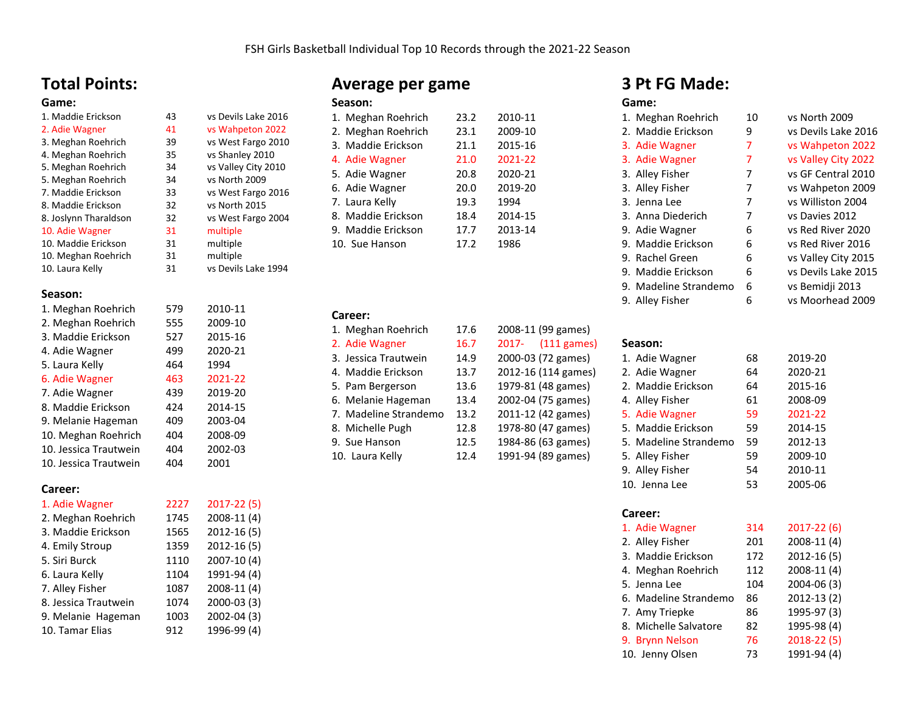## **Total Points:**

### **Game:**

| 1. Maddie Erickson    | 43 | vs Devils |
|-----------------------|----|-----------|
| 2. Adie Wagner        | 41 | vs Wahp   |
| 3. Meghan Roehrich    | 39 | vs West I |
| 4. Meghan Roehrich    | 35 | vs Shanle |
| 5. Meghan Roehrich    | 34 | vs Valley |
| 5. Meghan Roehrich    | 34 | vs North  |
| 7. Maddie Erickson    | 33 | vs West I |
| 8. Maddie Erickson    | 32 | vs North  |
| 8. Joslynn Tharaldson | 32 | vs West I |
| 10. Adie Wagner       | 31 | multiple  |
| 10. Maddie Erickson   | 31 | multiple  |
| 10. Meghan Roehrich   | 31 | multiple  |

# 10. Laura Kelly 31 vs Devils Lake 1994

### **Season:**

| 1. Meghan Roehrich    | 579 | 2010-11 |
|-----------------------|-----|---------|
| 2. Meghan Roehrich    | 555 | 2009-10 |
| 3. Maddie Erickson    | 527 | 2015-16 |
| 4. Adie Wagner        | 499 | 2020-21 |
| 5. Laura Kelly        | 464 | 1994    |
| 6. Adie Wagner        | 463 | 2021-22 |
| 7. Adie Wagner        | 439 | 2019-20 |
| 8. Maddie Erickson    | 424 | 2014-15 |
| 9. Melanie Hageman    | 409 | 2003-04 |
| 10. Meghan Roehrich   | 404 | 2008-09 |
| 10. Jessica Trautwein | 404 | 2002-03 |
| 10. Jessica Trautwein | 404 | 2001    |

### **Career:**

| 1. Adie Wagner       | 2227 | $2017 - 22(5)$ |
|----------------------|------|----------------|
| 2. Meghan Roehrich   | 1745 | 2008-11 (4)    |
| 3. Maddie Erickson   | 1565 | 2012-16 (5)    |
| 4. Emily Stroup      | 1359 | 2012-16 (5)    |
| 5. Siri Burck        | 1110 | 2007-10 (4)    |
| 6. Laura Kelly       | 1104 | 1991-94 (4)    |
| 7. Alley Fisher      | 1087 | 2008-11 (4)    |
| 8. Jessica Trautwein | 1074 | 2000-03 (3)    |
| 9. Melanie Hageman   | 1003 | 2002-04 (3)    |
| 10. Tamar Elias      | 912  | 1996-99 (4)    |

## **Average per game**

#### **Season:**

43 vs Devils Lake 2016 41 vs Wahpeton 2022 39 vs West Fargo 2010<br>35 vs Shanlev 2010 4. 35 vs Shanley 2010<br>34 vs Valley City 201

5. Sale vs North 2009<br>33 vs West Fargo 33 vs West Fargo 2016<br>32 vs North 2015 vs North 2015 32 vs West Fargo 2004

vs Valley City 2010

| 1. Meghan Roehrich | 23.2 | 2010-11 |
|--------------------|------|---------|
| 2. Meghan Roehrich | 23.1 | 2009-10 |
| 3. Maddie Erickson | 21.1 | 2015-16 |
| 4. Adie Wagner     | 21.0 | 2021-22 |
| 5. Adie Wagner     | 20.8 | 2020-21 |
| 6. Adie Wagner     | 20.0 | 2019-20 |
| 7. Laura Kelly     | 19.3 | 1994    |
| 8. Maddie Erickson | 18.4 | 2014-15 |
| 9. Maddie Erickson | 17.7 | 2013-14 |
| 10. Sue Hanson     | 17.2 | 1986    |
|                    |      |         |

### **Career:**

| 1. Meghan Roehrich    | 17.6 | 2008-11 (99 games)        |
|-----------------------|------|---------------------------|
| 2. Adie Wagner        | 16.7 | $(111$ games)<br>$2017 -$ |
| 3. Jessica Trautwein  | 14.9 | 2000-03 (72 games)        |
| 4. Maddie Erickson    | 13.7 | 2012-16 (114 games)       |
| 5. Pam Bergerson      | 13.6 | 1979-81 (48 games)        |
| 6. Melanie Hageman    | 13.4 | 2002-04 (75 games)        |
| 7. Madeline Strandemo | 13.2 | 2011-12 (42 games)        |
| 8. Michelle Pugh      | 12.8 | 1978-80 (47 games)        |
| 9. Sue Hanson         | 12.5 | 1984-86 (63 games)        |
| 10. Laura Kelly       | 12.4 | 1991-94 (89 games)        |
|                       |      |                           |

| ֿכ | 2008-11 (99 games)     |
|----|------------------------|
| 7  | 2017-<br>$(111$ games) |
| €  | 2000-03 (72 games)     |
| 7  | 2012-16 (114 games)    |
| 5  | 1979-81 (48 games)     |
| 1  | 2002-04 (75 games)     |
| 2  | 2011-12 (42 games)     |
| 3  | 1978-80 (47 games)     |
| 5  | 1984-86 (63 games)     |
| 1  | 1991-94 (89 games)     |
|    |                        |

## **3 Pt FG Made:**

### **Game:**

| 1. Meghan Roehrich    | 10 | vs North 2009       |
|-----------------------|----|---------------------|
| 2. Maddie Erickson    | 9  | vs Devils Lake 2016 |
| 3. Adie Wagner        | 7  | vs Wahpeton 2022    |
| 3. Adie Wagner        | 7  | vs Valley City 2022 |
| 3. Alley Fisher       | 7  | vs GF Central 2010  |
| 3. Alley Fisher       | 7  | vs Wahpeton 2009    |
| 3. Jenna Lee          | 7  | vs Williston 2004   |
| 3. Anna Diederich     | 7  | vs Davies 2012      |
| 9. Adie Wagner        | 6  | vs Red River 2020   |
| 9. Maddie Erickson    | 6  | vs Red River 2016   |
| 9. Rachel Green       | 6  | vs Valley City 2015 |
| 9. Maddie Erickson    | 6  | vs Devils Lake 2015 |
| 9. Madeline Strandemo | 6  | vs Bemidji 2013     |
| 9.  Alley Fisher      | 6  | vs Moorhead 2009    |
|                       |    |                     |

### **Season:**

| 1. Adie Wagner        | 68 | 2019-20 |
|-----------------------|----|---------|
| 2. Adie Wagner        | 64 | 2020-21 |
| 2. Maddie Erickson    | 64 | 2015-16 |
| 4. Alley Fisher       | 61 | 2008-09 |
| 5. Adie Wagner        | 59 | 2021-22 |
| 5. Maddie Erickson    | 59 | 2014-15 |
| 5. Madeline Strandemo | 59 | 2012-13 |
| 5. Alley Fisher       | 59 | 2009-10 |
| 9. Alley Fisher       | 54 | 2010-11 |
| 10. Jenna Lee         | 53 | 2005-06 |

### **Career:**

| 1. Adie Wagner        | 314 | $2017 - 22(6)$ |
|-----------------------|-----|----------------|
| 2. Alley Fisher       | 201 | 2008-11 (4)    |
| 3. Maddie Erickson    | 172 | $2012 - 16(5)$ |
| 4. Meghan Roehrich    | 112 | 2008-11 (4)    |
| 5. Jenna Lee          | 104 | 2004-06 (3)    |
| 6. Madeline Strandemo | 86  | 2012-13 (2)    |
| 7. Amy Triepke        | 86  | 1995-97 (3)    |
| 8. Michelle Salvatore | 82  | 1995-98 (4)    |
| 9. Brynn Nelson       | 76  | $2018 - 22(5)$ |
| 10. Jenny Olsen       | 73  | 1991-94 (4)    |
|                       |     |                |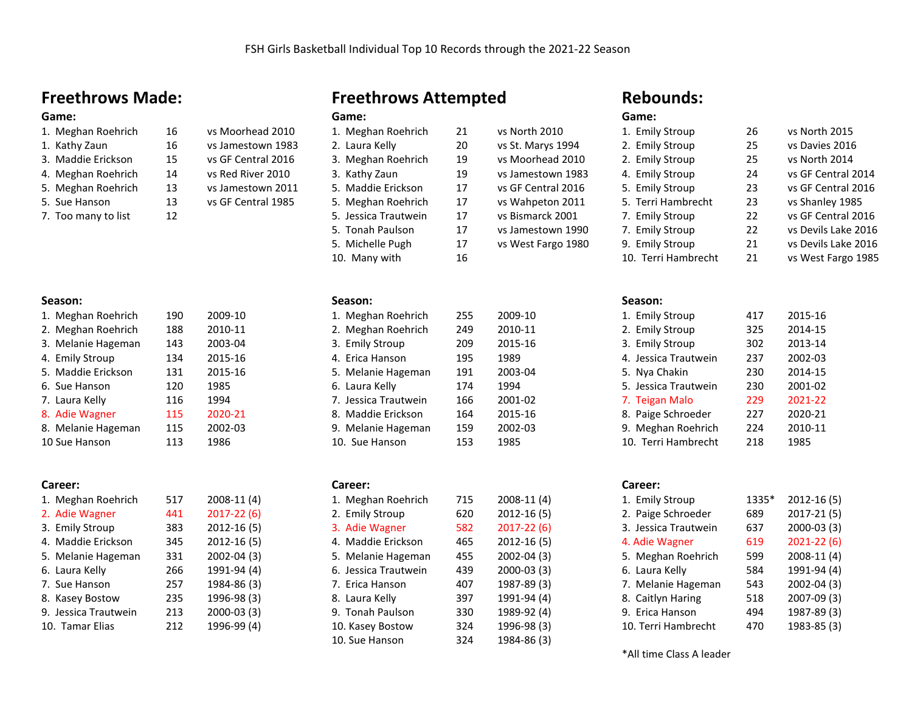20 vs St. Marys 1994 3. Meghan Roehrich 19 vs Moorhead 2010 19 vs Jamestown 1983 17 vs GF Central 2016 17 vs Wahpeton 2011 17 vs Bismarck 2001 17 vs Jamestown 1990 17 vs West Fargo 1980

## **Freethrows Made:**

# Game:<br><sup>1</sup> Meghan Pachrich

| 1. Meghan Roehrich | 16 | vs Moorhead 2010   |
|--------------------|----|--------------------|
| 1. Kathy Zaun      | 16 | vs Jamestown 198   |
| 3. Maddie Erickson | 15 | vs GF Central 2016 |
| 4. Meghan Roehrich | 14 | vs Red River 2010  |

- 5. Meghan Roehrich 13 vs Jamestown 2011
- 5. Sue Hanson 13 vs GF Central 1985
- 7. Too many to list 12

### **Season:**

| 1. Meghan Roehrich | 190 | 2009-10 |
|--------------------|-----|---------|
| 2. Meghan Roehrich | 188 | 2010-11 |
| 3. Melanie Hageman | 143 | 2003-04 |
| 4. Emily Stroup    | 134 | 2015-16 |
| 5. Maddie Erickson | 131 | 2015-16 |
| 6. Sue Hanson      | 120 | 1985    |
| 7. Laura Kelly     | 116 | 1994    |
| 8. Adie Wagner     | 115 | 2020-21 |
| 8. Melanie Hageman | 115 | 2002-03 |
| 10 Sue Hanson      | 113 | 1986    |

### **Career:**

| 1. Meghan Roehrich   | 517 | 2008-11 (4)    |
|----------------------|-----|----------------|
| 2. Adie Wagner       | 441 | $2017 - 22(6)$ |
| 3. Emily Stroup      | 383 | $2012 - 16(5)$ |
| 4. Maddie Erickson   | 345 | 2012-16 (5)    |
| 5. Melanie Hageman   | 331 | 2002-04 (3)    |
| 6. Laura Kelly       | 266 | 1991-94 (4)    |
| 7. Sue Hanson        | 257 | 1984-86 (3)    |
| 8. Kasey Bostow      | 235 | 1996-98 (3)    |
| 9. Jessica Trautwein | 213 | 2000-03 (3)    |
| 10. Tamar Elias      | 212 | 1996-99 (4)    |
|                      |     |                |

## **Freethrows Attempted**

## **Game:**

16 vs Moorhead 2010 16 vs Jamestown 1983 15 vs GF Central 2016

| 21                                                                                                                                                                                                       | vs North 2010   |
|----------------------------------------------------------------------------------------------------------------------------------------------------------------------------------------------------------|-----------------|
| 20                                                                                                                                                                                                       | vs St. Marys 19 |
| 19                                                                                                                                                                                                       | vs Moorhead 2   |
| 19                                                                                                                                                                                                       | vs Jamestown    |
| 17                                                                                                                                                                                                       | vs GF Central 2 |
| 17                                                                                                                                                                                                       | vs Wahpeton 2   |
| 17                                                                                                                                                                                                       | vs Bismarck 20  |
| 17                                                                                                                                                                                                       | vs Jamestown    |
| 17                                                                                                                                                                                                       | vs West Fargo   |
| 16                                                                                                                                                                                                       |                 |
| 1. Meghan Roehrich<br>2. Laura Kelly<br>3. Meghan Roehrich<br>3. Kathy Zaun<br>5. Maddie Erickson<br>5. Meghan Roehrich<br>5. Jessica Trautwein<br>5. Tonah Paulson<br>5. Michelle Pugh<br>10. Many with |                 |

### **Season:**

| 1. Meghan Roehrich   | 255 | 2009-10 |
|----------------------|-----|---------|
| 2. Meghan Roehrich   | 249 | 2010-11 |
| 3. Emily Stroup      | 209 | 2015-16 |
| 4. Erica Hanson      | 195 | 1989    |
| 5. Melanie Hageman   | 191 | 2003-04 |
| 6. Laura Kelly       | 174 | 1994    |
| 7. Jessica Trautwein | 166 | 2001-02 |
| 8. Maddie Erickson   | 164 | 2015-16 |
| 9. Melanie Hageman   | 159 | 2002-03 |
| 10. Sue Hanson       | 153 | 1985    |
|                      |     |         |

### **Career:**

| 1. Meghan Roehrich   | 715 | 2008-11 (4)    |
|----------------------|-----|----------------|
| 2. Emily Stroup      | 620 | 2012-16 (5)    |
| 3. Adie Wagner       | 582 | $2017 - 22(6)$ |
| 4. Maddie Erickson   | 465 | 2012-16 (5)    |
| 5. Melanie Hageman   | 455 | 2002-04 (3)    |
| 6. Jessica Trautwein | 439 | 2000-03 (3)    |
| 7. Erica Hanson      | 407 | 1987-89 (3)    |
| 8. Laura Kelly       | 397 | 1991-94 (4)    |
| 9. Tonah Paulson     | 330 | 1989-92 (4)    |
| 10. Kasey Bostow     | 324 | 1996-98 (3)    |
| 10. Sue Hanson       | 324 | 1984-86 (3)    |

### **Rebounds:**

### **Game:**

| 1. Emily Stroup     | 26 | vs North 2015       |
|---------------------|----|---------------------|
| 2. Emily Stroup     | 25 | vs Davies 2016      |
| 2. Emily Stroup     | 25 | vs North 2014       |
| 4. Emily Stroup     | 24 | vs GF Central 2014  |
| 5. Emily Stroup     | 23 | vs GF Central 2016  |
| 5. Terri Hambrecht  | 23 | vs Shanley 1985     |
| 7. Emily Stroup     | 22 | vs GF Central 2016  |
| 7. Emily Stroup     | 22 | vs Devils Lake 2016 |
| 9. Emily Stroup     | 21 | vs Devils Lake 2016 |
| 10. Terri Hambrecht | 21 | vs West Fargo 1985  |

### **Season:**

| 1. Emily Stroup      | 417 | 2015-16 |
|----------------------|-----|---------|
| 2. Emily Stroup      | 325 | 2014-15 |
| 3. Emily Stroup      | 302 | 2013-14 |
| 4. Jessica Trautwein | 237 | 2002-03 |
| 5. Nya Chakin        | 230 | 2014-15 |
| 5. Jessica Trautwein | 230 | 2001-02 |
| 7. Teigan Malo       | 229 | 2021-22 |
| 8. Paige Schroeder   | 227 | 2020-21 |
| 9. Meghan Roehrich   | 224 | 2010-11 |
| 10. Terri Hambrecht  | 218 | 1985    |

### **Career:**

| 1. Emily Stroup      | 1335* | $2012 - 16(5)$ |
|----------------------|-------|----------------|
| 2. Paige Schroeder   | 689   | 2017-21 (5)    |
| 3. Jessica Trautwein | 637   | 2000-03 (3)    |
| 4. Adie Wagner       | 619   | $2021 - 22(6)$ |
| 5. Meghan Roehrich   | 599   | 2008-11 (4)    |
| 6. Laura Kelly       | 584   | 1991-94 (4)    |
| 7. Melanie Hageman   | 543   | 2002-04 (3)    |
| 8. Caitlyn Haring    | 518   | 2007-09 (3)    |
| 9. Erica Hanson      | 494   | 1987-89 (3)    |
| 10. Terri Hambrecht  | 470   | 1983-85 (3)    |

\*All time Class A leader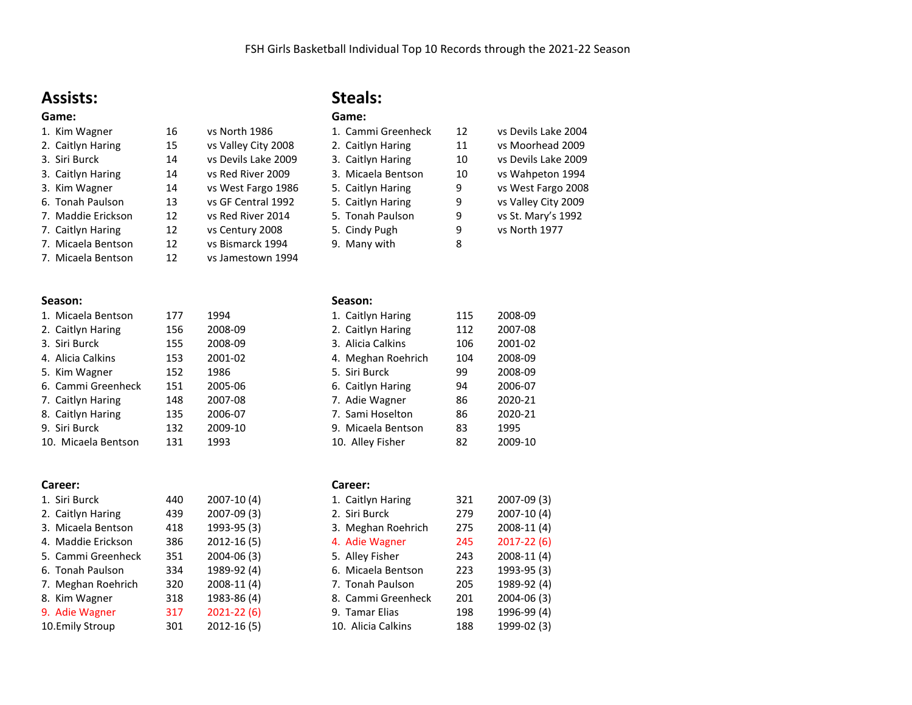## **Assists:**

### **Game:** 1. Kim Wagner

| чане.              |    |                     |
|--------------------|----|---------------------|
| 1. Kim Wagner      | 16 | vs North 1986       |
| 2. Caitlyn Haring  | 15 | vs Valley City 2008 |
| 3. Siri Burck      | 14 | vs Devils Lake 2009 |
| 3. Caitlyn Haring  | 14 | vs Red River 2009   |
| 3. Kim Wagner      | 14 | vs West Fargo 1986  |
| 6. Tonah Paulson   | 13 | vs GF Central 1992  |
| 7. Maddie Erickson | 12 | vs Red River 2014   |
| 7. Caitlyn Haring  | 12 | vs Century 2008     |
| 7. Micaela Bentson | 12 | vs Bismarck 1994    |
| 7. Micaela Bentson | 12 | vs Jamestown 1994   |

## **Steals:**

| Game:              |    |                     |
|--------------------|----|---------------------|
| 1. Cammi Greenheck | 12 | vs Devils Lake 2004 |
| 2. Caitlyn Haring  | 11 | vs Moorhead 2009    |
| 3. Caitlyn Haring  | 10 | vs Devils Lake 2009 |
| 3. Micaela Bentson | 10 | vs Wahpeton 1994    |
| 5. Caitlyn Haring  | 9  | vs West Fargo 2008  |
| 5. Caitlyn Haring  | 9  | vs Valley City 2009 |
| 5. Tonah Paulson   | 9  | vs St. Mary's 1992  |
| 5. Cindy Pugh      | 9  | vs North 1977       |
| 9. Many with       | 8  |                     |

### **Season:**

| 1. Micaela Bentson  | 177 | 1994    |
|---------------------|-----|---------|
| 2. Caitlyn Haring   | 156 | 2008-09 |
| 3. Siri Burck       | 155 | 2008-09 |
| 4. Alicia Calkins   | 153 | 2001-02 |
| 5. Kim Wagner       | 152 | 1986    |
| 6. Cammi Greenheck  | 151 | 2005-06 |
| 7. Caitlyn Haring   | 148 | 2007-08 |
| 8. Caitlyn Haring   | 135 | 2006-07 |
| 9. Siri Burck       | 132 | 2009-10 |
| 10. Micaela Bentson | 131 | 1993    |

### **Career:**

| 1. Siri Burck      | 440 | 2007-10 (4)    |
|--------------------|-----|----------------|
| 2. Caitlyn Haring  | 439 | 2007-09 (3)    |
| 3. Micaela Bentson | 418 | 1993-95 (3)    |
| 4. Maddie Erickson | 386 | $2012 - 16(5)$ |
| 5. Cammi Greenheck | 351 | 2004-06 (3)    |
| 6. Tonah Paulson   | 334 | 1989-92 (4)    |
| 7. Meghan Roehrich | 320 | 2008-11 (4)    |
| 8. Kim Wagner      | 318 | 1983-86 (4)    |
| 9. Adie Wagner     | 317 | $2021 - 22(6)$ |
| 10.Emily Stroup    | 301 | 2012-16 (5)    |

### **Season:**

| 1. Caitlyn Haring  | 115 | 2008-09 |
|--------------------|-----|---------|
| 2. Caitlyn Haring  | 112 | 2007-08 |
| 3. Alicia Calkins  | 106 | 2001-02 |
| 4. Meghan Roehrich | 104 | 2008-09 |
| 5. Siri Burck      | 99  | 2008-09 |
| 6. Caitlyn Haring  | 94  | 2006-07 |
| 7. Adie Wagner     | 86  | 2020-21 |
| 7. Sami Hoselton   | 86  | 2020-21 |
| 9. Micaela Bentson | 83  | 1995    |
| 10. Alley Fisher   | 82  | 2009-10 |
|                    |     |         |

### **Career:**

| 1. Caitlyn Haring  | 321 | 2007-09 (3)    |
|--------------------|-----|----------------|
| 2. Siri Burck      | 279 | 2007-10 (4)    |
| 3. Meghan Roehrich | 275 | 2008-11 (4)    |
| 4. Adie Wagner     | 245 | $2017 - 22(6)$ |
| 5. Alley Fisher    | 243 | 2008-11 (4)    |
| 6. Micaela Bentson | 223 | 1993-95 (3)    |
| 7. Tonah Paulson   | 205 | 1989-92 (4)    |
| 8. Cammi Greenheck | 201 | 2004-06 (3)    |
| 9. Tamar Elias     | 198 | 1996-99 (4)    |
| 10. Alicia Calkins | 188 | 1999-02 (3)    |